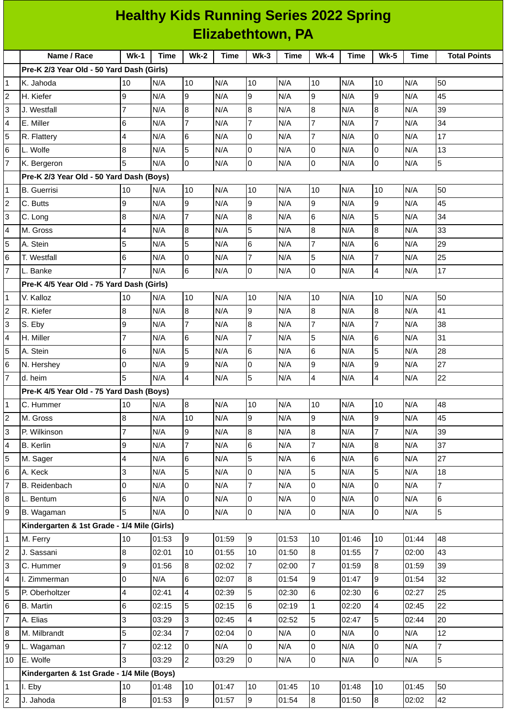| <b>Healthy Kids Running Series 2022 Spring</b> |                                             |                          |       |                |       |                |       |                  |             |                         |             |                     |
|------------------------------------------------|---------------------------------------------|--------------------------|-------|----------------|-------|----------------|-------|------------------|-------------|-------------------------|-------------|---------------------|
|                                                | Elizabethtown, PA                           |                          |       |                |       |                |       |                  |             |                         |             |                     |
|                                                | Name / Race                                 | $Wk-1$                   | Time  | <b>Wk-2</b>    | Time  | $Wk-3$         | Time  | <b>Wk-4</b>      | <b>Time</b> | $Wk-5$                  | <b>Time</b> | <b>Total Points</b> |
|                                                | Pre-K 2/3 Year Old - 50 Yard Dash (Girls)   |                          |       |                |       |                |       |                  |             |                         |             |                     |
| 1                                              | K. Jahoda                                   | 10                       | N/A   | 10             | N/A   | 10             | N/A   | 10               | N/A         | 10                      | N/A         | 50                  |
| $\overline{2}$                                 | H. Kiefer                                   | 9                        | N/A   | 9              | N/A   | 9              | N/A   | 9                | N/A         | 9                       | N/A         | 45                  |
| 3                                              | J. Westfall                                 | 7                        | N/A   | 8              | N/A   | 8              | N/A   | $\boldsymbol{8}$ | N/A         | $\boldsymbol{8}$        | N/A         | 39                  |
| $\overline{4}$                                 | E. Miller                                   | 6                        | N/A   | $\overline{7}$ | N/A   | 7              | N/A   | $\overline{7}$   | N/A         | $\overline{7}$          | N/A         | 34                  |
| 5                                              | R. Flattery                                 | $\overline{4}$           | N/A   | 6              | N/A   | $\overline{0}$ | N/A   | $\overline{7}$   | N/A         | $\overline{0}$          | N/A         | 17                  |
| 6                                              | L. Wolfe                                    | 8                        | N/A   | 5              | N/A   | 0              | N/A   | 0                | N/A         | O                       | N/A         | 13                  |
| $\overline{7}$                                 | K. Bergeron                                 | 5                        | N/A   | 0              | N/A   | 0              | N/A   | 0                | N/A         | 0                       | N/A         | 5                   |
|                                                | Pre-K 2/3 Year Old - 50 Yard Dash (Boys)    |                          |       |                |       |                |       |                  |             |                         |             |                     |
| 11                                             | <b>B.</b> Guerrisi                          | 10                       | N/A   | 10             | N/A   | 10             | N/A   | 10               | N/A         | 10                      | N/A         | 50                  |
| $\overline{c}$                                 | C. Butts                                    | 9                        | N/A   | 9              | N/A   | 9              | N/A   | 9                | N/A         | 9                       | N/A         | 45                  |
| 3                                              | C. Long                                     | 8                        | N/A   | $\overline{7}$ | N/A   | 8              | N/A   | 6                | N/A         | 5                       | N/A         | 34                  |
| $\overline{4}$                                 | M. Gross                                    | 4                        | N/A   | 8              | N/A   | 5              | N/A   | 8                | N/A         | $\overline{8}$          | N/A         | 33                  |
| 5                                              | A. Stein                                    | 5                        | N/A   | 5              | N/A   | 6              | N/A   | $\overline{7}$   | N/A         | $6\phantom{.}6$         | N/A         | 29                  |
| 6                                              | T. Westfall                                 | 6                        | N/A   | 0              | N/A   | $\overline{7}$ | N/A   | 5                | N/A         | $\overline{7}$          | N/A         | 25                  |
| $\overline{7}$                                 | L. Banke                                    | $\overline{7}$           | N/A   | 6              | N/A   | 0              | N/A   | 0                | N/A         | $\overline{4}$          | N/A         | 17                  |
|                                                | Pre-K 4/5 Year Old - 75 Yard Dash (Girls)   |                          |       |                |       |                |       |                  |             |                         |             |                     |
| 1                                              | V. Kalloz                                   | 10                       | N/A   | 10             | N/A   | 10             | N/A   | 10               | N/A         | 10                      | N/A         | 50                  |
| $\overline{2}$                                 | R. Kiefer                                   | 8                        | N/A   | 8              | N/A   | 9              | N/A   | 8                | N/A         | $\boldsymbol{8}$        | N/A         | 41                  |
| 3                                              | S. Eby                                      | 9                        | N/A   | $\overline{7}$ | N/A   | 8              | N/A   | $\overline{7}$   | N/A         | $\overline{7}$          | N/A         | 38                  |
| $\overline{4}$                                 | H. Miller                                   | $\overline{7}$           | N/A   | 6              | N/A   | $\overline{7}$ | N/A   | 5                | N/A         | $\,$ 6                  | N/A         | 31                  |
| 5                                              | A. Stein                                    | 6                        | N/A   | 5              | N/A   | 6              | N/A   | 6                | N/A         | 5                       | N/A         | 28                  |
| 6                                              | N. Hershey                                  | 0                        | N/A   | 9              | N/A   | 0              | N/A   | 9                | N/A         | 9                       | N/A         | 27                  |
| 17                                             | d. heim                                     | 5                        | N/A   | 4              | N/A   | 5              | N/A   | 4                | N/A         | $\overline{4}$          | N/A         | 22                  |
|                                                | Pre-K 4/5 Year Old - 75 Yard Dash (Boys)    |                          |       |                |       |                |       |                  |             |                         |             |                     |
| 1                                              | C. Hummer                                   | 10                       | N/A   | 8              | N/A   | 10             | N/A   | 10               | N/A         | 10                      | N/A         | 48                  |
| $\overline{c}$                                 | M. Gross                                    | 8                        | N/A   | 10             | N/A   | 9              | N/A   | 9                | N/A         | 9                       | N/A         | 45                  |
| 3                                              | P. Wilkinson                                | $\overline{7}$           | N/A   | $\overline{9}$ | N/A   | 8              | N/A   | 8                | N/A         | $\overline{7}$          | N/A         | 39                  |
| $\overline{4}$                                 | <b>B.</b> Kerlin                            | 9                        | N/A   | $\overline{7}$ | N/A   | 6              | N/A   | $\overline{7}$   | N/A         | $\overline{8}$          | N/A         | 37                  |
| 5                                              | M. Sager                                    | $\overline{\mathbf{4}}$  | N/A   | 6              | N/A   | 5              | N/A   | 6                | N/A         | $6\phantom{a}$          | N/A         | 27                  |
| 6                                              | A. Keck                                     | 3                        | N/A   | 5              | N/A   | 0              | N/A   | 5                | N/A         | 5                       | N/A         | 18                  |
| $\overline{7}$                                 | B. Reidenbach                               | 0                        | N/A   | 0              | N/A   | 7              | N/A   | 0                | N/A         | $\overline{0}$          | N/A         | $\overline{7}$      |
| 8                                              | L. Bentum                                   | $6\phantom{a}$           | N/A   | $\overline{0}$ | N/A   | 0              | N/A   | 0                | N/A         | 0                       | N/A         | $\,6$               |
| g                                              | B. Wagaman                                  | 5                        | N/A   | $\overline{0}$ | N/A   | 0              | N/A   | $\overline{0}$   | N/A         | $\overline{0}$          | N/A         | Ţ                   |
|                                                | Kindergarten & 1st Grade - 1/4 Mile (Girls) |                          |       |                |       |                |       |                  |             |                         |             |                     |
| 1                                              | M. Ferry                                    | 10                       | 01:53 | 9              | 01:59 | 9              | 01:53 | 10               | 01:46       | 10                      | 01:44       | 48                  |
| $\overline{2}$                                 | J. Sassani                                  | 8                        | 02:01 | 10             | 01:55 | $10\,$         | 01:50 | 8                | 01:55       | $\overline{7}$          | 02:00       | 43                  |
| $\overline{3}$                                 | C. Hummer                                   | 9                        | 01:56 | $8\,$          | 02:02 | 7              | 02:00 | $\overline{7}$   | 01:59       | 8                       | 01:59       | 39                  |
| $\overline{4}$                                 | I. Zimmerman                                | 0                        | N/A   | 6              | 02:07 | 8              | 01:54 | 9                | 01:47       | 9                       | 01:54       | 32                  |
| 5                                              | P. Oberholtzer                              | $\overline{\mathcal{L}}$ | 02:41 | 4              | 02:39 | 5              | 02:30 | 6                | 02:30       | $\,6$                   | 02:27       | 25                  |
| 6                                              | <b>B.</b> Martin                            | $6\phantom{a}$           | 02:15 | 5              | 02:15 | 6              | 02:19 | $\mathbf{1}$     | 02:20       | $\overline{\mathbf{4}}$ | 02:45       | 22                  |
| $\overline{7}$                                 | A. Elias                                    | 3                        | 03:29 | 3              | 02:45 | 4              | 02:52 | 5                | 02:47       | 5                       | 02:44       | 20                  |
| 8                                              | M. Milbrandt                                | 5                        | 02:34 | $\overline{7}$ | 02:04 | 0              | N/A   | 0                | N/A         | $\pmb{0}$               | N/A         | 12                  |
| 9                                              | L. Wagaman                                  | $\overline{7}$           | 02:12 | 0              | N/A   | 0              | N/A   | 0                | N/A         | $\overline{0}$          | N/A         | $\overline{7}$      |
| 10                                             | E. Wolfe                                    | 3                        | 03:29 | $\overline{a}$ | 03:29 | 0              | N/A   | $\overline{0}$   | N/A         | $\overline{0}$          | N/A         | 5                   |
|                                                | Kindergarten & 1st Grade - 1/4 Mile (Boys)  |                          |       |                |       |                |       |                  |             |                         |             |                     |
| 1                                              | I. Eby                                      | 10                       | 01:48 | 10             | 01:47 | 10             | 01:45 | 10               | 01:48       | 10                      | 01:45       | 50                  |
| $\overline{2}$                                 | J. Jahoda                                   | 8                        | 01:53 | 9              | 01:57 | 9              | 01:54 | 8                | 01:50       | 8                       | 02:02       | 42                  |